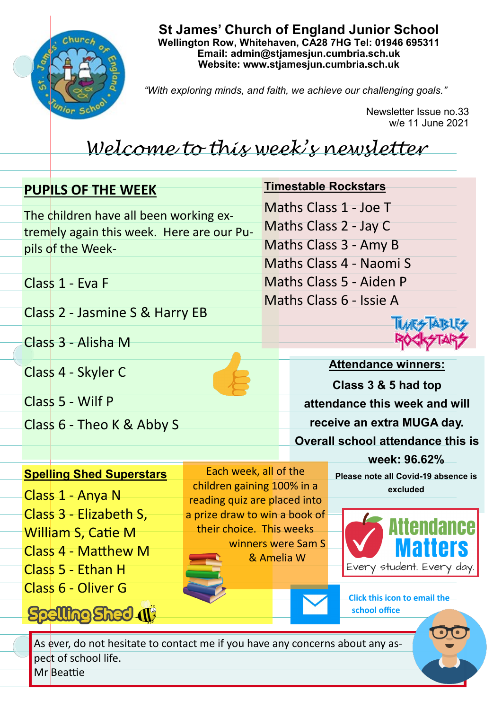

**St James' Church of England Junior School Wellington Row, Whitehaven, CA28 7HG Tel: 01946 695311 Email: admin@stjamesjun.cumbria.sch.uk Website: www.stjamesjun.cumbria.sch.uk**

*"With exploring minds, and faith, we achieve our challenging goals."*

Newsletter Issue no.33 w/e 11 June 2021

## *Welcome to this week's newsletter*

| <b>PUPILS OF THE WEEK</b>                 |                                                            |                            | <b>Timestable Rockstars</b>              |  |
|-------------------------------------------|------------------------------------------------------------|----------------------------|------------------------------------------|--|
| The children have all been working ex-    |                                                            | Maths Class 1 - Joe T      |                                          |  |
| tremely again this week. Here are our Pu- |                                                            | Maths Class 2 - Jay C      |                                          |  |
| pils of the Week-                         |                                                            |                            | Maths Class 3 - Amy B                    |  |
|                                           |                                                            |                            | Maths Class 4 - Naomi S                  |  |
| Class 1 - Eva F                           |                                                            | Maths Class 5 - Aiden P    |                                          |  |
|                                           |                                                            |                            | Maths Class 6 - Issie A                  |  |
| Class 2 - Jasmine S & Harry EB            |                                                            |                            |                                          |  |
| Class 3 - Alisha M                        |                                                            |                            |                                          |  |
|                                           |                                                            |                            |                                          |  |
| Class 4 - Skyler C                        |                                                            |                            | <b>Attendance winners:</b>               |  |
|                                           |                                                            |                            | Class 3 & 5 had top                      |  |
| Class 5 - Wilf P                          |                                                            |                            | attendance this week and will            |  |
| Class 6 - Theo K & Abby S                 |                                                            | receive an extra MUGA day. |                                          |  |
|                                           |                                                            |                            | <b>Overall school attendance this is</b> |  |
|                                           |                                                            |                            | week: 96.62%                             |  |
| <b>Spelling Shed Superstars</b>           | Each week, all of the                                      |                            | Please note all Covid-19 absence is      |  |
| Class 1 - Anya N                          | children gaining 100% in a<br>reading quiz are placed into |                            | excluded                                 |  |

a prize draw to win a book of their choice. This weeks

> winners were Sam S & Amelia W



**Click this icon to email the school office**

As ever, do not hesitate to contact me if you have any concerns about any aspect of school life.

Mr Beattie

Class 3 - Elizabeth S,

Class 4 - Matthew M

Spelling Shed (1)

William S, Catie M

Class 5 - Ethan H

Class 6 - Oliver G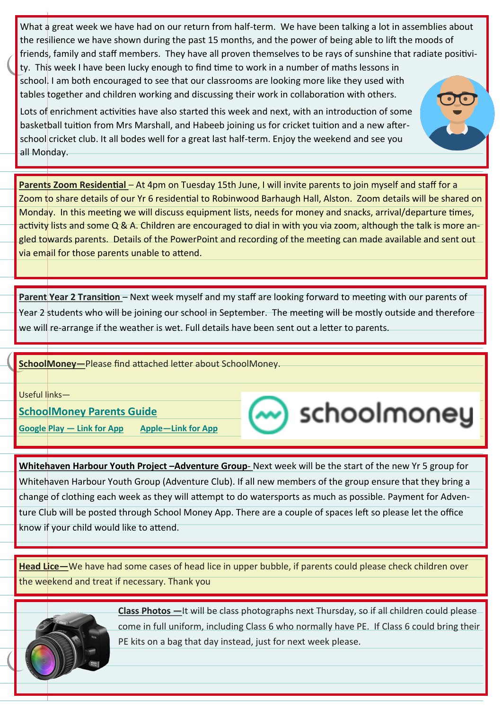What a great week we have had on our return from half-term. We have been talking a lot in assemblies about the resilience we have shown during the past 15 months, and the power of being able to lift the moods of friends, family and staff members. They have all proven themselves to be rays of sunshine that radiate positivity. This week I have been lucky enough to find time to work in a number of maths lessons in school. I am both encouraged to see that our classrooms are looking more like they used with tables together and children working and discussing their work in collaboration with others.

Lots of enrichment activities have also started this week and next, with an introduction of some basketball tuition from Mrs Marshall, and Habeeb joining us for cricket tuition and a new afterschool cricket club. It all bodes well for a great last half-term. Enjoy the weekend and see you all Monday.

**Parents Zoom Residential** – At 4pm on Tuesday 15th June, I will invite parents to join myself and staff for a Zoom to share details of our Yr 6 residential to Robinwood Barhaugh Hall, Alston. Zoom details will be shared on Monday. In this meeting we will discuss equipment lists, needs for money and snacks, arrival/departure times, activity lists and some Q & A. Children are encouraged to dial in with you via zoom, although the talk is more angled towards parents. Details of the PowerPoint and recording of the meeting can made available and sent out via email for those parents unable to attend.

**Parent Year 2 Transition** – Next week myself and my staff are looking forward to meeting with our parents of Year 2 students who will be joining our school in September. The meeting will be mostly outside and therefore we will re-arrange if the weather is wet. Full details have been sent out a letter to parents.

## **SchoolMoney—**Please find attached letter about SchoolMoney.

Useful links—

**[SchoolMoney Parents Guide](http://stjamesjun.cumbria.sch.uk/serve_file/1650431)**

**[Google Play —](https://play.google.com/store/apps/details?id=com.teachers2parents.teachers2parents&hl=en_GB) Link for App [Apple—Link for App](https://apps.apple.com/gb/app/teachers2parents/id1293160257)**



**Whitehaven Harbour Youth Project –Adventure Group**- Next week will be the start of the new Yr 5 group for Whitehaven Harbour Youth Group (Adventure Club). If all new members of the group ensure that they bring a change of clothing each week as they will attempt to do watersports as much as possible. Payment for Adventure Club will be posted through School Money App. There are a couple of spaces left so please let the office know if your child would like to attend.

**Head Lice—**We have had some cases of head lice in upper bubble, if parents could please check children over the weekend and treat if necessary. Thank you



**Class Photos —**It will be class photographs next Thursday, so if all children could please come in full uniform, including Class 6 who normally have PE. If Class 6 could bring their PE kits on a bag that day instead, just for next week please.